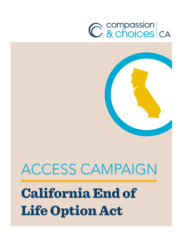# C compassion<br>C & choices CA



## ACCESS CAMPAIGN California End of Life Option Act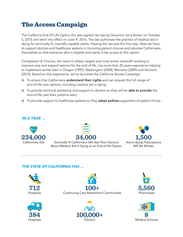## The Access Campaign

The California End Of Life Option Act was signed into law by Governor Jerry Brown on October 5, 2015 and went into effect on June 9, 2016. The law authorizes the practice of medical aid in dying for terminally ill, mentally capable adults. Passing the law was the first step. Now we have to support doctors and healthcare systems in honoring patient choices and educate Californians themselves so that everyone who is eligible and wants it has access to this option.

Compassion & Choices, the nation's oldest, largest and most active nonprofit working to improve care and expand options for the end of life, has more than 20 years experience helping to implement similar laws in Oregon (1997), Washington (2008), Montana (2009) and Vermont (2013). Based on this experience, we've launched the California Access Campaign:

- » To ensure that Californians understand their rights and can request the full range of end-of-life care options, including medical aid in dying.
- » To provide technical assistance and support to doctors so they will be able to provide the end-of-life care their patients want.
- » To provide support to healthcare systems so they adopt policies supportive of patient choice.

#### *IN A YEAR … A YEAR …*





Terminally Ill Californians Will Ask Their Doctors Terminally Ill Californians Will Ask Their Doctors About Medical Aid in Dying as an End-of-life Option About Medical Aid in Dying as an End-of-life Option Terminally Ill Californians Will Ask Their Doctors About Medical Aid in Dying as an End-of-life Option About Medical Aid in Dying as an End-of-life Option Terminally Ill Californians Will Ask Their Doctors



#### *THE STATE OF CALIFORNIA HAS … THE STATE OF CALIFORNIA HAS … THE STATE OF CALIFORNIA HAS … THE STATE OF CALIFORNIA HAS …*











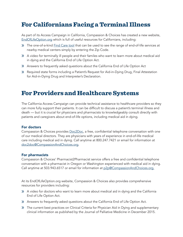## For Californians Facing a Terminal Illness

As part of its Access Campaign in California, Compassion & Choices has created a new website, [EndOfLifeOption.org](http://EndOfLifeOption.org) which is full of useful resources for Californians, including:

- » The one-of-a-kind [Find Care tool](http://endoflifeoption.org/find-care/) that can be used to see the range of end-of-life services at nearby medical centers simply by entering the Zip Code.
- » A video for terminally ill people and their familes who want to learn more about medical aid in dying and the California End of Life Option Act.
- » Answers to frequently asked questions about the California End of Life Option Act
- » Required state forms including a Patient's Request for Aid-in-Dying Drug, Final Attestation for Aid-in-Dying Drug and Interpreter's Declaration.

### For Providers and Healthcare Systems

The California Access Campaign can provide technical assistance to healthcare providers so they can more fully support their patients. It can be difficult to discuss a patient's terminal illness and death — but it is crucial for physicians and pharmacists to knowledgeably consult directly with patients and caregivers about end-of-life options, including medical aid in dying.

#### For doctors

Compassion & Choices provides **Doc2Doc**, a free, confidential telephone conversation with one of our medical directors. They are physicians with years of experience in end-of-life medical care including medical aid in dying. Call anytime at 800.247.7421 or email for information at [doc2doc@CompassionAndChoices.org](mailto:doc2doc%40compassionandchoices.org?subject=).

#### For pharmacists

Compassion & Choices' Pharmacist2Pharmacist service offers a free and confidential telephone conversation with a pharmacist in Oregon or Washington experienced with medical aid in dying. Call anytime at 503.943.6517 or email for information at [p2p@CompassionAndChoices.org](mailto:p2p%40CompassionAndChoices.org?subject=).

At its EndOfLifeOption.org website, Compassion & Choices also provides comprehensive resources for providers including:

- » A video for doctors who want to learn more about medical aid in dying and the California End of Life Option Act.
- » Answers to frequently asked questions about the California End of Life Option Act.
- » The current best practices on Clinical Criteria for Physician Aid in Dying and supplementary clinical information as published by the Journal of Palliative Medicine in December 2015.